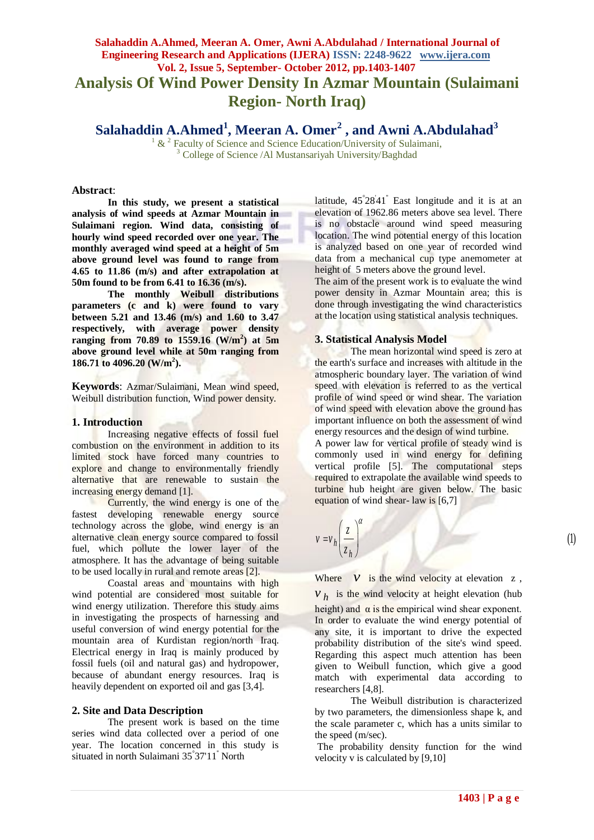# **Salahaddin A.Ahmed, Meeran A. Omer, Awni A.Abdulahad / International Journal of Engineering Research and Applications (IJERA) ISSN: 2248-9622 www.ijera.com Vol. 2, Issue 5, September- October 2012, pp.1403-1407 Analysis Of Wind Power Density In Azmar Mountain (Sulaimani Region- North Iraq)**

**Salahaddin A.Ahmed<sup>1</sup> , Meeran A. Omer<sup>2</sup> , and Awni A.Abdulahad<sup>3</sup>**

 $1 \& 2$  Faculty of Science and Science Education/University of Sulaimani, <sup>3</sup> College of Science /Al Mustansariyah University/Baghdad

#### **Abstract**:

**In this study, we present a statistical analysis of wind speeds at Azmar Mountain in Sulaimani region. Wind data, consisting of hourly wind speed recorded over one year. The monthly averaged wind speed at a height of 5m above ground level was found to range from 4.65 to 11.86 (m/s) and after extrapolation at 50m found to be from 6.41 to 16.36 (m/s).**

**The monthly Weibull distributions parameters (c and k) were found to vary between 5.21 and 13.46 (m/s) and 1.60 to 3.47 respectively, with average power density ranging from 70.89 to 1559.16 (W/m<sup>2</sup> ) at 5m above ground level while at 50m ranging from 186.71 to 4096.20 (W/m<sup>2</sup> ).** 

**Keywords**: Azmar/Sulaimani, Mean wind speed, Weibull distribution function, Wind power density.

#### **1. Introduction**

Increasing negative effects of fossil fuel combustion on the environment in addition to its limited stock have forced many countries to explore and change to environmentally friendly alternative that are renewable to sustain the increasing energy demand [1].

Currently, the wind energy is one of the fastest developing renewable energy source technology across the globe, wind energy is an alternative clean energy source compared to fossil fuel, which pollute the lower layer of the atmosphere. It has the advantage of being suitable to be used locally in rural and remote areas [2].

Coastal areas and mountains with high wind potential are considered most suitable for wind energy utilization. Therefore this study aims in investigating the prospects of harnessing and useful conversion of wind energy potential for the mountain area of Kurdistan region/north Iraq. Electrical energy in Iraq is mainly produced by fossil fuels (oil and natural gas) and hydropower, because of abundant energy resources. Iraq is heavily dependent on exported oil and gas [3,4].

#### **2. Site and Data Description**

The present work is based on the time series wind data collected over a period of one year. The location concerned in this study is situated in north Sulaimani 35° 37'11'' North

latitude, 45° 28' 41'' East longitude and it is at an elevation of 1962.86 meters above sea level. There is no obstacle around wind speed measuring location. The wind potential energy of this location is analyzed based on one year of recorded wind data from a mechanical cup type anemometer at height of 5 meters above the ground level.

The aim of the present work is to evaluate the wind power density in Azmar Mountain area; this is done through investigating the wind characteristics at the location using statistical analysis techniques.

#### **3. Statistical Analysis Model**

The mean horizontal wind speed is zero at the earth's surface and increases with altitude in the atmospheric boundary layer. The variation of wind speed with elevation is referred to as the vertical profile of wind speed or wind shear. The variation of wind speed with elevation above the ground has important influence on both the assessment of wind energy resources and the design of wind turbine.

A power law for vertical profile of steady wind is commonly used in wind energy for defining vertical profile [5]. The computational steps required to extrapolate the available wind speeds to turbine hub height are given below. The basic equation of wind shear- law is [6,7]



Where  $V$  is the wind velocity at elevation  $Z$ ,  $v_h$  is the wind velocity at height elevation (hub height) and  $\alpha$  is the empirical wind shear exponent. In order to evaluate the wind energy potential of any site, it is important to drive the expected probability distribution of the site's wind speed. Regarding this aspect much attention has been

given to Weibull function, which give a good match with experimental data according to researchers [4,8]. The Weibull distribution is characterized by two parameters, the dimensionless shape k, and

the scale parameter c, which has a units similar to the speed (m/sec). The probability density function for the wind

velocity v is calculated by [9,10]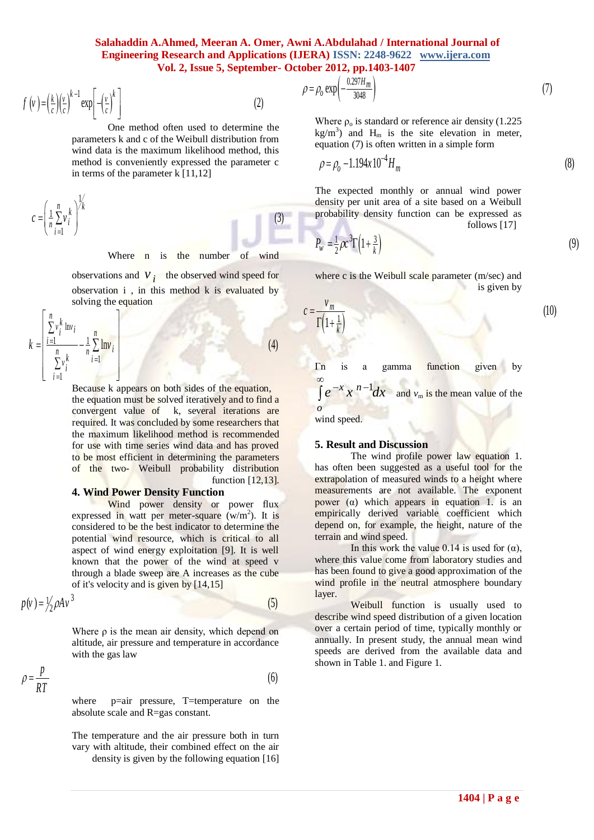# **Salahaddin A.Ahmed, Meeran A. Omer, Awni A.Abdulahad / International Journal of Engineering Research and Applications (IJERA) ISSN: 2248-9622** www.ijera.com<br> **Vol. 2, Issue 5, September- October 2012, pp.1403-1407**<br>  $\rho = \rho_0 \exp\left(-\frac{0.297H_m}{3048}\right)$  (7)  **Vol. 2, Issue 5, September- October 2012, pp.1403-1407**

(3)

**Vol. 2, Issue 5, September**  

$$
f(v) = \left(\frac{k}{c}\right)\left(\frac{v}{c}\right)^{k-1} \exp\left[-\left(\frac{v}{c}\right)^{k}\right]
$$
(2)

One method often used to determine the parameters k and c of the Weibull distribution from wind data is the maximum likelihood method, this method is conveniently expressed the parameter c in terms of the parameter k [11,12]

in terms of the  

$$
c = \left(\frac{1}{n} \sum_{i=1}^{n} v_i^k\right)^{1/k}
$$

Where n is the number of wind

observations and  $V_i$  the observed wind speed for observation i , in this method k is evaluated by<br>solving the equation<br> $\left[\sum_{i=1}^{n} v_i^k \ln v_i\right]$   $\left[\sum_{i=1}^{n} v_i^k \ln v_i\right]$  (4) solving the equation

solving the equation  
\n
$$
k = \left[\frac{\sum_{i=1}^{n} v_i^k \ln v_i}{\sum_{i=1}^{n} v_i^k} - \frac{1}{n} \sum_{i=1}^{n} \ln v_i \right]
$$
\n(4)

**1404 | P a g e** Because k appears on both sides of the equation, the equation must be solved iteratively and to find a convergent value of k, several iterations are required. It was concluded by some researchers that the maximum likelihood method is recommended for use with time series wind data and has proved to be most efficient in determining the parameters of the two- Weibull probability distribution function [12,13].

#### **4. Wind Power Density Function**

Wind power density or power flux expressed in watt per meter-square  $(w/m<sup>2</sup>)$ . It is considered to be the best indicator to determine the potential wind resource, which is critical to all aspect of wind energy exploitation [9]. It is well known that the power of the wind at speed v of it's velocity and is given by [14,15]

through a blade sweep are A increases as the cube  
of it's velocity and is given by [14,15]  

$$
p(v) = \frac{1}{2} \rho A v^3
$$
 (5)

Where  $\rho$  is the mean air density, which depend on altitude, air pressure and temperature in accordance with the gas law

with the gas law  
\n
$$
\rho = \frac{p}{RT}
$$
\n(6)  
\nwhere  $p = \text{air pressure}$  T-temperature on the

where p=air pressure, T=temperature on the absolute scale and R=gas constant.

The temperature and the air pressure both in turn vary with altitude, their combined effect on the air density is given by the following equation [16]

**ERA)** ISSN: 2248-9622 www.ijera.com  
ober 2012, pp.1403-1407  

$$
\rho = \rho_0 \exp\left(-\frac{0.297H_m}{3048}\right) \tag{7}
$$

Where  $\rho_0$  is standard or reference air density (1.225) kg/m<sup>3</sup>) and H<sub>m</sub> is the site elevation in meter,<br>equation (7) is often written in a simple form<br> $\rho = \rho_0 - 1.194x 10^{-4} H_m$  (8) equation (7) is often written in a simple form

$$
p = \rho_0 - 1.194x \, 10^{-4} H_m \tag{8}
$$

The expected monthly or annual wind power density per unit area of a site based on a Weibull probability density function can be expressed as<br>
follows [17]<br>  $P_w = \frac{1}{2} \rho c^3 \Gamma \left( 1 + \frac{3}{k} \right)$  (9) follows [17]

$$
P_w = \frac{1}{2}\rho c^3 \Gamma \left(1 + \frac{3}{k}\right)
$$

where 
$$
c
$$
 is the Weibull scale parameter (m/sec) and is given by

$$
=\frac{v_m}{\Gamma\left(1+\frac{1}{k}\right)}
$$

*c*

(10)

Γn is a gamma function given by  $\frac{x}{n}$   $\frac{n-1}{n}$  $\int e^{-x} x^{n-1} dx$  $\infty$ and  $v_m$  is the mean value of the

wind speed.

*o*

#### **5. Result and Discussion**

The wind profile power law equation 1. has often been suggested as a useful tool for the extrapolation of measured winds to a height where measurements are not available. The exponent power ( $α$ ) which appears in equation 1. is an empirically derived variable coefficient which depend on, for example, the height, nature of the terrain and wind speed.

In this work the value 0.14 is used for  $(α)$ , where this value come from laboratory studies and has been found to give a good approximation of the wind profile in the neutral atmosphere boundary layer.

Weibull function is usually used to describe wind speed distribution of a given location over a certain period of time, typically monthly or annually. In present study, the annual mean wind speeds are derived from the available data and shown in Table 1. and Figure 1.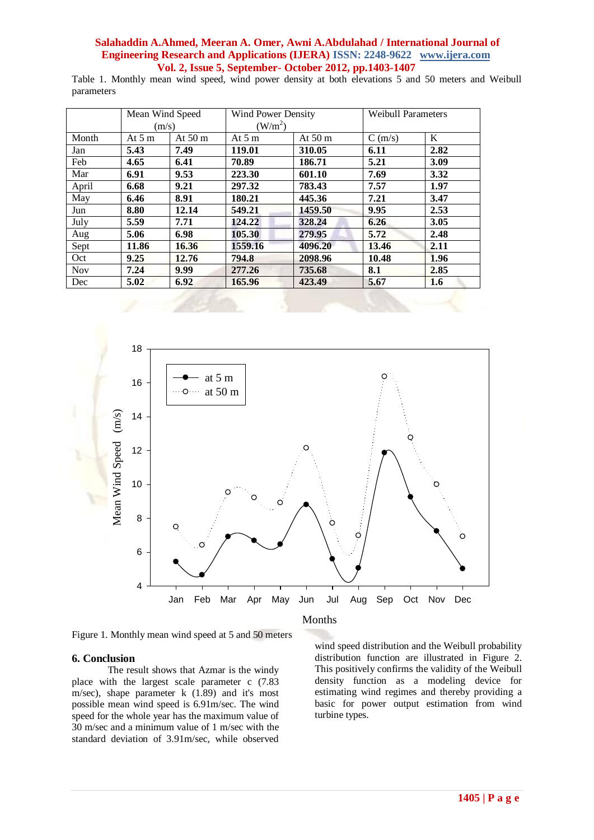# **Salahaddin A.Ahmed, Meeran A. Omer, Awni A.Abdulahad / International Journal of Engineering Research and Applications (IJERA) ISSN: 2248-9622 www.ijera.com Vol. 2, Issue 5, September- October 2012, pp.1403-1407**

Table 1. Monthly mean wind speed, wind power density at both elevations 5 and 50 meters and Weibull parameters

|            | Mean Wind Speed<br>(m/s) |          | <b>Wind Power Density</b><br>$(W/m^2)$ |          | <b>Weibull Parameters</b> |      |
|------------|--------------------------|----------|----------------------------------------|----------|---------------------------|------|
|            |                          |          |                                        |          |                           |      |
| Month      | At $5m$                  | At $50m$ | At $5m$                                | At $50m$ | C(m/s)                    | K    |
| Jan        | 5.43                     | 7.49     | 119.01                                 | 310.05   | 6.11                      | 2.82 |
| Feb        | 4.65                     | 6.41     | 70.89                                  | 186.71   | 5.21                      | 3.09 |
| Mar        | 6.91                     | 9.53     | 223.30                                 | 601.10   | 7.69                      | 3.32 |
| April      | 6.68                     | 9.21     | 297.32                                 | 783.43   | 7.57                      | 1.97 |
| May        | 6.46                     | 8.91     | 180.21                                 | 445.36   | 7.21                      | 3.47 |
| Jun        | 8.80                     | 12.14    | 549.21                                 | 1459.50  | 9.95                      | 2.53 |
| July       | 5.59                     | 7.71     | 124.22                                 | 328.24   | 6.26                      | 3.05 |
| Aug        | 5.06                     | 6.98     | 105.30                                 | 279.95   | 5.72                      | 2.48 |
| Sept       | 11.86                    | 16.36    | 1559.16                                | 4096.20  | 13.46                     | 2.11 |
| Oct        | 9.25                     | 12.76    | 794.8                                  | 2098.96  | 10.48                     | 1.96 |
| <b>Nov</b> | 7.24                     | 9.99     | 277.26                                 | 735.68   | 8.1                       | 2.85 |
| Dec        | 5.02                     | 6.92     | 165.96                                 | 423.49   | 5.67                      | 1.6  |
|            |                          |          |                                        |          |                           |      |



Figure 1. Monthly mean wind speed at 5 and 50 meters

#### **6. Conclusion**

The result shows that Azmar is the windy place with the largest scale parameter c (7.83  $m/sec$ ), shape parameter k  $(1.89)$  and it's most possible mean wind speed is 6.91m/sec. The wind speed for the whole year has the maximum value of 30 m/sec and a minimum value of 1 m/sec with the standard deviation of 3.91m/sec, while observed

Months

wind speed distribution and the Weibull probability distribution function are illustrated in Figure 2. This positively confirms the validity of the Weibull density function as a modeling device for estimating wind regimes and thereby providing a basic for power output estimation from wind turbine types.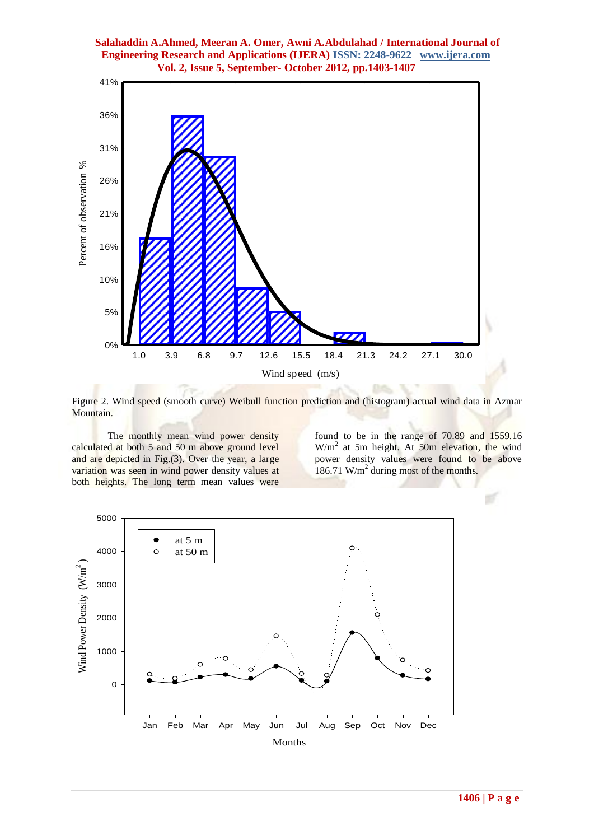# **Salahaddin A.Ahmed, Meeran A. Omer, Awni A.Abdulahad / International Journal of Engineering Research and Applications (IJERA) ISSN: 2248-9622 www.ijera.com Vol. 2, Issue 5, September- October 2012, pp.1403-1407**



Figure 2. Wind speed (smooth curve) Weibull function prediction and (histogram) actual wind data in Azmar Mountain.

The monthly mean wind power density calculated at both 5 and 50 m above ground level and are depicted in Fig.(3). Over the year, a large variation was seen in wind power density values at both heights. The long term mean values were

found to be in the range of 70.89 and 1559.16 W/m<sup>2</sup> at 5m height. At 50m elevation, the wind power density values were found to be above 186.71 W/m<sup>2</sup> during most of the months.